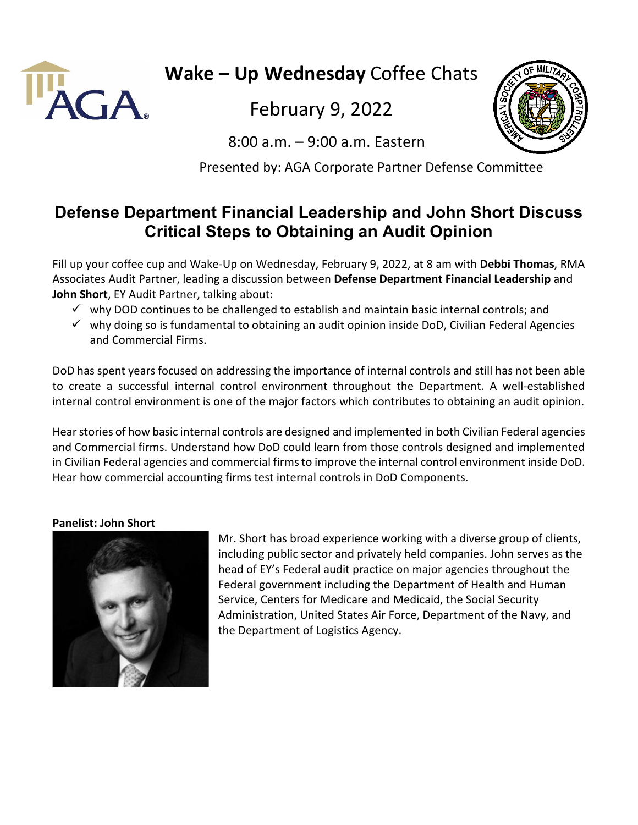

**Wake – Up Wednesday** Coffee Chats

February 9, 2022

8:00 a.m. – 9:00 a.m. Eastern

Presented by: AGA Corporate Partner Defense Committee

## **Defense Department Financial Leadership and John Short Discuss Critical Steps to Obtaining an Audit Opinion**

Fill up your coffee cup and Wake-Up on Wednesday, February 9, 2022, at 8 am with **Debbi Thomas**, RMA Associates Audit Partner, leading a discussion between **Defense Department Financial Leadership** and **John Short**, EY Audit Partner, talking about:

- $\checkmark$  why DOD continues to be challenged to establish and maintain basic internal controls; and
- $\checkmark$  why doing so is fundamental to obtaining an audit opinion inside DoD, Civilian Federal Agencies and Commercial Firms.

DoD has spent years focused on addressing the importance of internal controls and still has not been able to create a successful internal control environment throughout the Department. A well-established internal control environment is one of the major factors which contributes to obtaining an audit opinion.

Hear stories of how basic internal controls are designed and implemented in both Civilian Federal agencies and Commercial firms. Understand how DoD could learn from those controls designed and implemented in Civilian Federal agencies and commercial firms to improve the internal control environment inside DoD. Hear how commercial accounting firms test internal controls in DoD Components.

## **Panelist: John Short**



Mr. Short has broad experience working with a diverse group of clients, including public sector and privately held companies. John serves as the head of EY's Federal audit practice on major agencies throughout the Federal government including the Department of Health and Human Service, Centers for Medicare and Medicaid, the Social Security Administration, United States Air Force, Department of the Navy, and the Department of Logistics Agency.